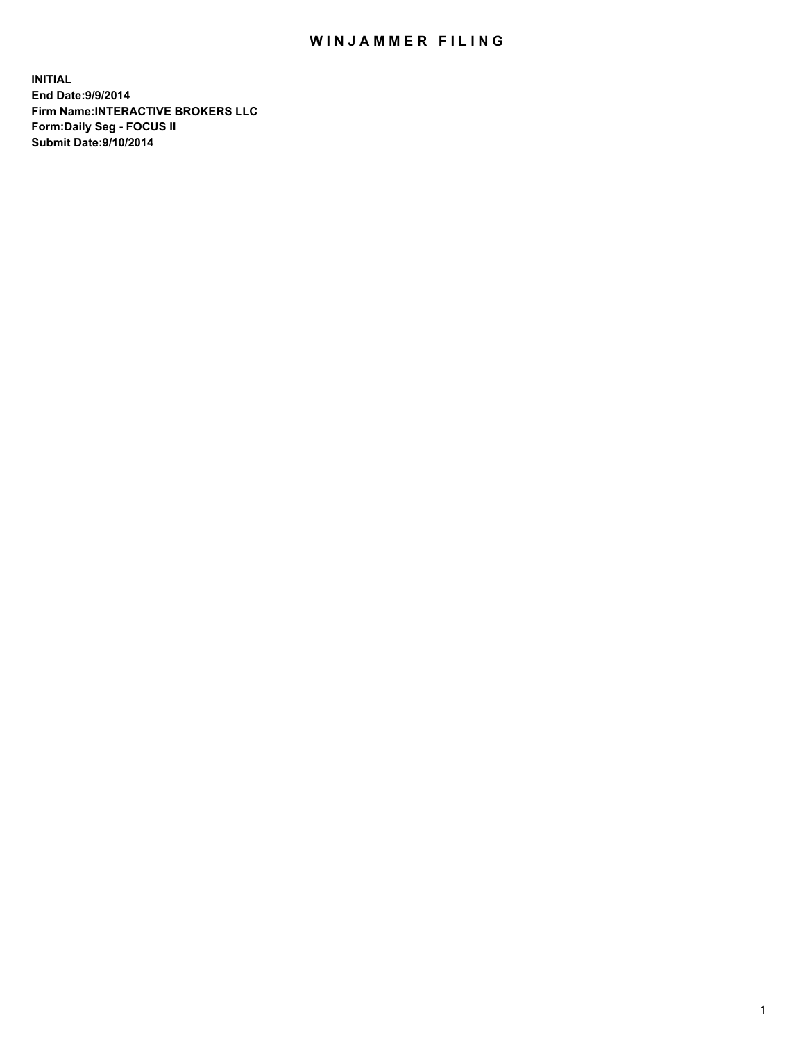## WIN JAMMER FILING

**INITIAL End Date:9/9/2014 Firm Name:INTERACTIVE BROKERS LLC Form:Daily Seg - FOCUS II Submit Date:9/10/2014**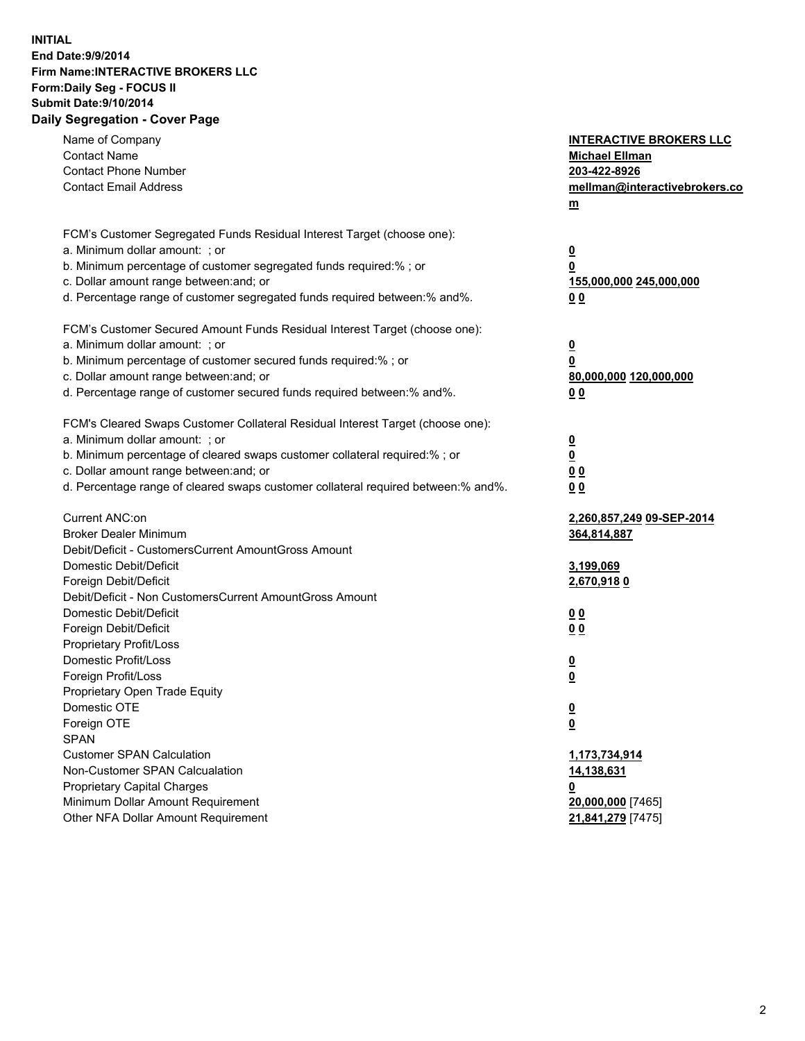## **INITIAL End Date:9/9/2014 Firm Name:INTERACTIVE BROKERS LLC Form:Daily Seg - FOCUS II Submit Date:9/10/2014 Daily Segregation - Cover Page**

| Name of Company                                                                   | <b>INTERACTIVE BROKERS LLC</b> |
|-----------------------------------------------------------------------------------|--------------------------------|
| <b>Contact Name</b>                                                               | <b>Michael Ellman</b>          |
| <b>Contact Phone Number</b>                                                       | 203-422-8926                   |
| <b>Contact Email Address</b>                                                      | mellman@interactivebrokers.co  |
|                                                                                   | $m$                            |
|                                                                                   |                                |
| FCM's Customer Segregated Funds Residual Interest Target (choose one):            |                                |
| a. Minimum dollar amount: ; or                                                    | $\overline{\mathbf{0}}$        |
| b. Minimum percentage of customer segregated funds required:% ; or                | 0                              |
| c. Dollar amount range between: and; or                                           | 155,000,000 245,000,000        |
| d. Percentage range of customer segregated funds required between:% and%.         | 0 <sub>0</sub>                 |
| FCM's Customer Secured Amount Funds Residual Interest Target (choose one):        |                                |
| a. Minimum dollar amount: ; or                                                    |                                |
| b. Minimum percentage of customer secured funds required:% ; or                   | $\overline{\mathbf{0}}$<br>0   |
| c. Dollar amount range between: and; or                                           | 80,000,000 120,000,000         |
| d. Percentage range of customer secured funds required between:% and%.            | 0 <sub>0</sub>                 |
|                                                                                   |                                |
| FCM's Cleared Swaps Customer Collateral Residual Interest Target (choose one):    |                                |
| a. Minimum dollar amount: ; or                                                    | $\overline{\mathbf{0}}$        |
| b. Minimum percentage of cleared swaps customer collateral required:% ; or        | $\overline{\mathbf{0}}$        |
| c. Dollar amount range between: and; or                                           | 0 <sub>0</sub>                 |
| d. Percentage range of cleared swaps customer collateral required between:% and%. | 0 <sub>0</sub>                 |
|                                                                                   |                                |
| Current ANC:on                                                                    | 2,260,857,249 09-SEP-2014      |
| <b>Broker Dealer Minimum</b>                                                      | 364,814,887                    |
| Debit/Deficit - CustomersCurrent AmountGross Amount                               |                                |
| Domestic Debit/Deficit                                                            | 3,199,069                      |
| Foreign Debit/Deficit                                                             | 2,670,9180                     |
| Debit/Deficit - Non CustomersCurrent AmountGross Amount                           |                                |
| Domestic Debit/Deficit                                                            | 0 <sub>0</sub>                 |
| Foreign Debit/Deficit                                                             | 0 <sub>0</sub>                 |
| Proprietary Profit/Loss                                                           |                                |
| Domestic Profit/Loss                                                              | <u>0</u>                       |
| Foreign Profit/Loss                                                               | $\overline{\mathbf{0}}$        |
| Proprietary Open Trade Equity                                                     |                                |
| Domestic OTE                                                                      | <u>0</u>                       |
| Foreign OTE                                                                       | <u>0</u>                       |
| <b>SPAN</b>                                                                       |                                |
| <b>Customer SPAN Calculation</b>                                                  | 1,173,734,914                  |
| Non-Customer SPAN Calcualation                                                    | <u>14,138,631</u>              |
| <b>Proprietary Capital Charges</b>                                                | <u>0</u>                       |
| Minimum Dollar Amount Requirement                                                 | 20,000,000 [7465]              |
| Other NFA Dollar Amount Requirement                                               | 21,841,279 [7475]              |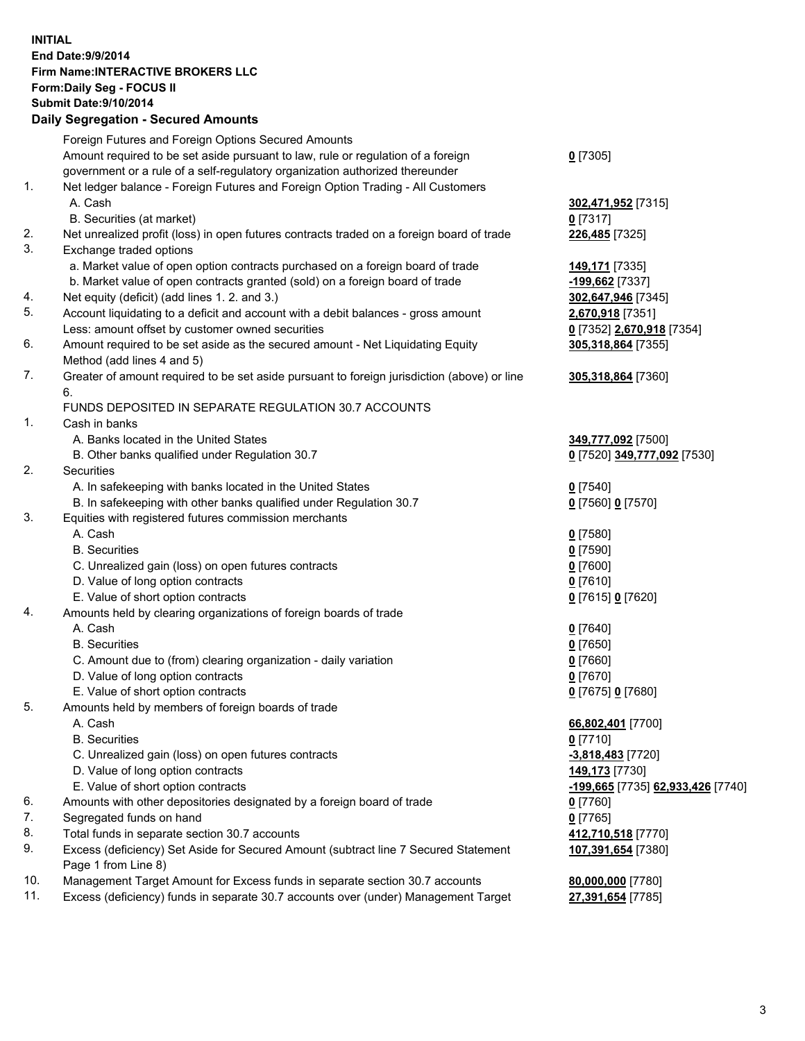## **INITIAL End Date:9/9/2014 Firm Name:INTERACTIVE BROKERS LLC Form:Daily Seg - FOCUS II Submit Date:9/10/2014 Daily Segregation - Secured Amounts**

|     | Foreign Futures and Foreign Options Secured Amounts                                         |                                   |
|-----|---------------------------------------------------------------------------------------------|-----------------------------------|
|     | Amount required to be set aside pursuant to law, rule or regulation of a foreign            | $0$ [7305]                        |
|     | government or a rule of a self-regulatory organization authorized thereunder                |                                   |
| 1.  | Net ledger balance - Foreign Futures and Foreign Option Trading - All Customers             |                                   |
|     | A. Cash                                                                                     | 302,471,952 [7315]                |
|     | B. Securities (at market)                                                                   | $0$ [7317]                        |
| 2.  | Net unrealized profit (loss) in open futures contracts traded on a foreign board of trade   | 226,485 [7325]                    |
| 3.  | Exchange traded options                                                                     |                                   |
|     | a. Market value of open option contracts purchased on a foreign board of trade              | 149,171 [7335]                    |
|     | b. Market value of open contracts granted (sold) on a foreign board of trade                | -199,662 [7337]                   |
| 4.  | Net equity (deficit) (add lines 1.2. and 3.)                                                | 302,647,946 [7345]                |
| 5.  | Account liquidating to a deficit and account with a debit balances - gross amount           | 2,670,918 [7351]                  |
|     | Less: amount offset by customer owned securities                                            | 0 [7352] 2,670,918 [7354]         |
| 6.  | Amount required to be set aside as the secured amount - Net Liquidating Equity              | 305,318,864 [7355]                |
|     | Method (add lines 4 and 5)                                                                  |                                   |
| 7.  |                                                                                             |                                   |
|     | Greater of amount required to be set aside pursuant to foreign jurisdiction (above) or line | 305,318,864 [7360]                |
|     | 6.<br>FUNDS DEPOSITED IN SEPARATE REGULATION 30.7 ACCOUNTS                                  |                                   |
| 1.  |                                                                                             |                                   |
|     | Cash in banks                                                                               |                                   |
|     | A. Banks located in the United States                                                       | 349,777,092 [7500]                |
|     | B. Other banks qualified under Regulation 30.7                                              | 0 [7520] 349,777,092 [7530]       |
| 2.  | Securities                                                                                  |                                   |
|     | A. In safekeeping with banks located in the United States                                   | $0$ [7540]                        |
|     | B. In safekeeping with other banks qualified under Regulation 30.7                          | 0 [7560] 0 [7570]                 |
| 3.  | Equities with registered futures commission merchants                                       |                                   |
|     | A. Cash                                                                                     | $0$ [7580]                        |
|     | <b>B.</b> Securities                                                                        | $0$ [7590]                        |
|     | C. Unrealized gain (loss) on open futures contracts                                         | $0$ [7600]                        |
|     | D. Value of long option contracts                                                           | $0$ [7610]                        |
|     | E. Value of short option contracts                                                          | 0 [7615] 0 [7620]                 |
| 4.  | Amounts held by clearing organizations of foreign boards of trade                           |                                   |
|     | A. Cash                                                                                     | $0$ [7640]                        |
|     | <b>B.</b> Securities                                                                        | $0$ [7650]                        |
|     | C. Amount due to (from) clearing organization - daily variation                             | $0$ [7660]                        |
|     | D. Value of long option contracts                                                           | $0$ [7670]                        |
|     | E. Value of short option contracts                                                          | 0 [7675] 0 [7680]                 |
| 5.  | Amounts held by members of foreign boards of trade                                          |                                   |
|     | A. Cash                                                                                     | 66,802,401 [7700]                 |
|     | <b>B.</b> Securities                                                                        | $0$ [7710]                        |
|     | C. Unrealized gain (loss) on open futures contracts                                         | -3,818,483 [7720]                 |
|     | D. Value of long option contracts                                                           | 149,173 [7730]                    |
|     | E. Value of short option contracts                                                          | -199,665 [7735] 62,933,426 [7740] |
| 6.  | Amounts with other depositories designated by a foreign board of trade                      | $0$ [7760]                        |
| 7.  | Segregated funds on hand                                                                    | $0$ [7765]                        |
| 8.  | Total funds in separate section 30.7 accounts                                               | 412,710,518 [7770]                |
| 9.  | Excess (deficiency) Set Aside for Secured Amount (subtract line 7 Secured Statement         | 107,391,654 [7380]                |
|     | Page 1 from Line 8)                                                                         |                                   |
| 10. | Management Target Amount for Excess funds in separate section 30.7 accounts                 | 80,000,000 [7780]                 |
| 11. | Excess (deficiency) funds in separate 30.7 accounts over (under) Management Target          | 27,391,654 [7785]                 |
|     |                                                                                             |                                   |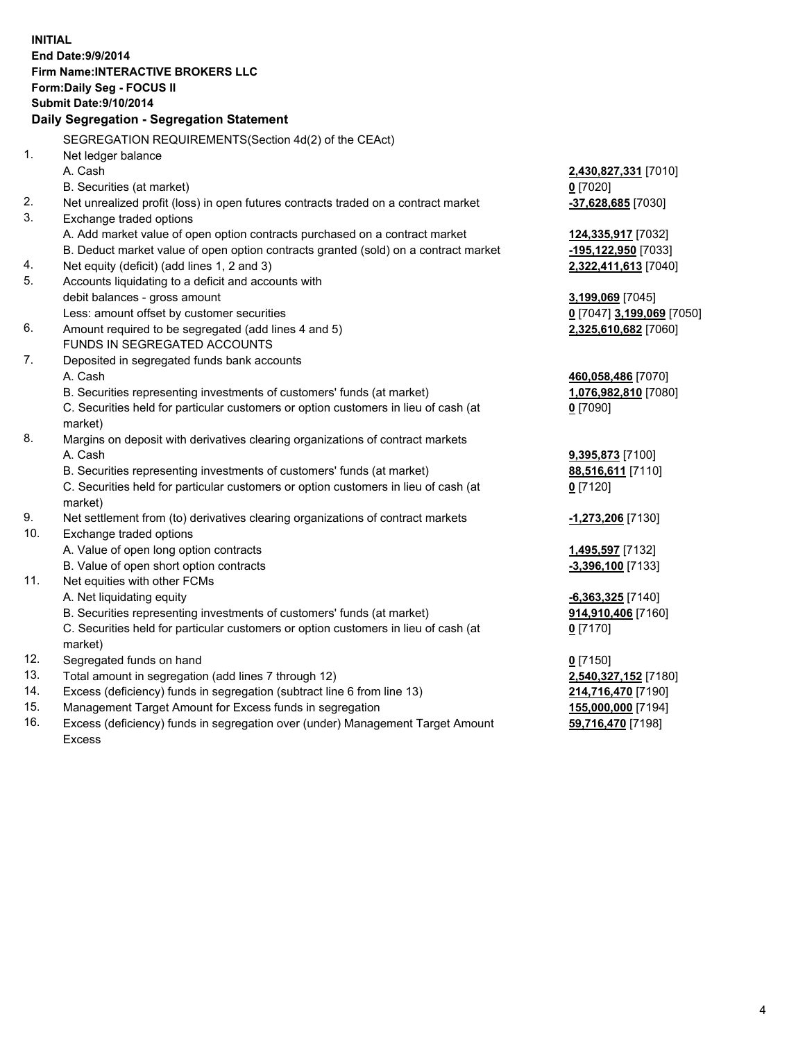**INITIAL End Date:9/9/2014 Firm Name:INTERACTIVE BROKERS LLC Form:Daily Seg - FOCUS II Submit Date:9/10/2014 Daily Segregation - Segregation Statement** SEGREGATION REQUIREMENTS(Section 4d(2) of the CEAct) 1. Net ledger balance A. Cash **2,430,827,331** [7010] B. Securities (at market) **0** [7020] 2. Net unrealized profit (loss) in open futures contracts traded on a contract market **-37,628,685** [7030] 3. Exchange traded options A. Add market value of open option contracts purchased on a contract market **124,335,917** [7032] B. Deduct market value of open option contracts granted (sold) on a contract market **-195,122,950** [7033] 4. Net equity (deficit) (add lines 1, 2 and 3) **2,322,411,613** [7040] 5. Accounts liquidating to a deficit and accounts with debit balances - gross amount **3,199,069** [7045] Less: amount offset by customer securities **0** [7047] **3,199,069** [7050] 6. Amount required to be segregated (add lines 4 and 5) **2,325,610,682** [7060] FUNDS IN SEGREGATED ACCOUNTS 7. Deposited in segregated funds bank accounts A. Cash **460,058,486** [7070] B. Securities representing investments of customers' funds (at market) **1,076,982,810** [7080] C. Securities held for particular customers or option customers in lieu of cash (at market) **0** [7090] 8. Margins on deposit with derivatives clearing organizations of contract markets A. Cash **9,395,873** [7100] B. Securities representing investments of customers' funds (at market) **88,516,611** [7110] C. Securities held for particular customers or option customers in lieu of cash (at market) **0** [7120] 9. Net settlement from (to) derivatives clearing organizations of contract markets **-1,273,206** [7130] 10. Exchange traded options A. Value of open long option contracts **1,495,597** [7132] B. Value of open short option contracts **-3,396,100** [7133] 11. Net equities with other FCMs A. Net liquidating equity **-6,363,325** [7140] B. Securities representing investments of customers' funds (at market) **914,910,406** [7160] C. Securities held for particular customers or option customers in lieu of cash (at market) **0** [7170] 12. Segregated funds on hand **0** [7150] 13. Total amount in segregation (add lines 7 through 12) **2,540,327,152** [7180] 14. Excess (deficiency) funds in segregation (subtract line 6 from line 13) **214,716,470** [7190] 15. Management Target Amount for Excess funds in segregation **155,000,000** [7194]

16. Excess (deficiency) funds in segregation over (under) Management Target Amount Excess

**59,716,470** [7198]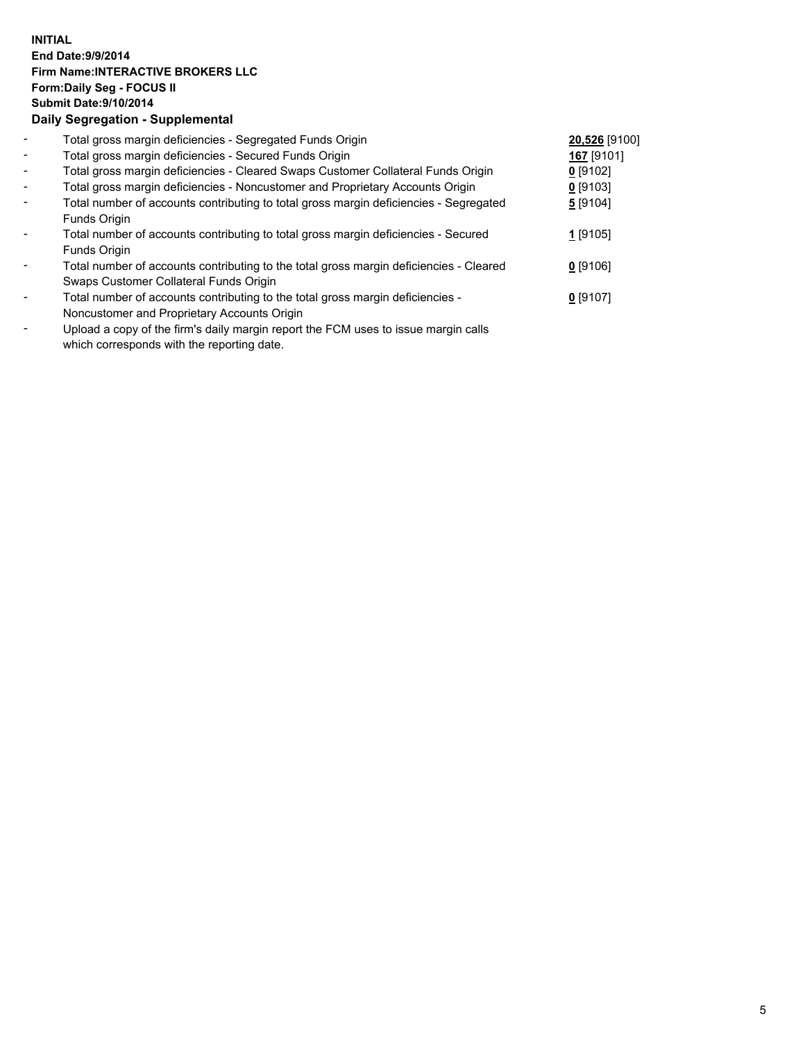## **INITIAL End Date:9/9/2014 Firm Name:INTERACTIVE BROKERS LLC Form:Daily Seg - FOCUS II Submit Date:9/10/2014 Daily Segregation - Supplemental**

| $\blacksquare$ | Total gross margin deficiencies - Segregated Funds Origin                              | 20,526 [9100] |  |
|----------------|----------------------------------------------------------------------------------------|---------------|--|
| $\blacksquare$ | Total gross margin deficiencies - Secured Funds Origin                                 | 167 [9101]    |  |
| $\blacksquare$ | Total gross margin deficiencies - Cleared Swaps Customer Collateral Funds Origin       | $0$ [9102]    |  |
| $\blacksquare$ | Total gross margin deficiencies - Noncustomer and Proprietary Accounts Origin          | $0$ [9103]    |  |
| $\blacksquare$ | Total number of accounts contributing to total gross margin deficiencies - Segregated  | 5[9104]       |  |
|                | Funds Origin                                                                           |               |  |
|                | Total number of accounts contributing to total gross margin deficiencies - Secured     | 1 [9105]      |  |
|                | Funds Origin                                                                           |               |  |
|                | Total number of accounts contributing to the total gross margin deficiencies - Cleared | $0$ [9106]    |  |
|                | Swaps Customer Collateral Funds Origin                                                 |               |  |
|                | Total number of accounts contributing to the total gross margin deficiencies -         | $0$ [9107]    |  |
|                | Noncustomer and Proprietary Accounts Origin                                            |               |  |
|                |                                                                                        |               |  |

- Upload a copy of the firm's daily margin report the FCM uses to issue margin calls which corresponds with the reporting date.